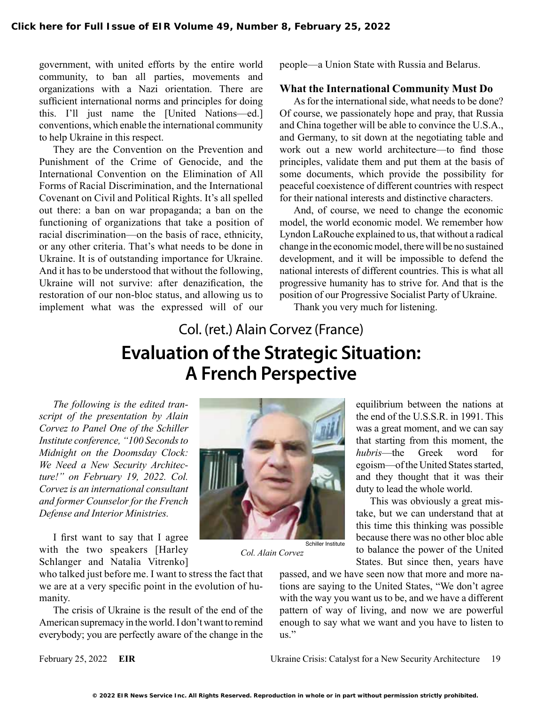government, with united efforts by the entire world community, to ban all parties, movements and organizations with a Nazi orientation. There are sufficient international norms and principles for doing this. I'll just name the [United Nations—ed.] conventions, which enable the international community to help Ukraine in this respect.

They are the Convention on the Prevention and Punishment of the Crime of Genocide, and the International Convention on the Elimination of All Forms of Racial Discrimination, and the International Covenant on Civil and Political Rights. It's all spelled out there: a ban on war propaganda; a ban on the functioning of organizations that take a position of racial discrimination—on the basis of race, ethnicity, or any other criteria. That's what needs to be done in Ukraine. It is of outstanding importance for Ukraine. And it has to be understood that without the following, Ukraine will not survive: after denazification, the restoration of our non-bloc status, and allowing us to implement what was the expressed will of our

people—a Union State with Russia and Belarus.

#### **What the International Community Must Do**

As for the international side, what needs to be done? Of course, we passionately hope and pray, that Russia and China together will be able to convince the U.S.A., and Germany, to sit down at the negotiating table and work out a new world architecture—to find those principles, validate them and put them at the basis of some documents, which provide the possibility for peaceful coexistence of different countries with respect for their national interests and distinctive characters.

And, of course, we need to change the economic model, the world economic model. We remember how Lyndon LaRouche explained to us, that without a radical change in the economic model, there will be no sustained development, and it will be impossible to defend the national interests of different countries. This is what all progressive humanity has to strive for. And that is the position of our Progressive Socialist Party of Ukraine.

Thank you very much for listening.

# Col. (ret.) Alain Corvez (France) **Evaluation of the Strategic Situation: A French Perspective**

*The following is the edited transcript of the presentation by Alain Corvez to Panel One of the Schiller Institute conference, "100 Seconds to Midnight on the Doomsday Clock: We Need a New Security Architecture!" on February 19, 2022. Col. Corvez is an international consultant and former Counselor for the French Defense and Interior Ministries.*

I first want to say that I agree with the two speakers [Harley Schlanger and Natalia Vitrenko]

who talked just before me. I want to stress the fact that we are at a very specific point in the evolution of humanity.

The crisis of Ukraine is the result of the end of the American supremacy in the world. I don't want to remind everybody; you are perfectly aware of the change in the



*Col. Alain Corvez*

equilibrium between the nations at the end of the U.S.S.R. in 1991. This was a great moment, and we can say that starting from this moment, the *hubris*—the Greek word for egoism—of the United States started, and they thought that it was their duty to lead the whole world.

This was obviously a great mistake, but we can understand that at this time this thinking was possible because there was no other bloc able to balance the power of the United States. But since then, years have

passed, and we have seen now that more and more nations are saying to the United States, "We don't agree with the way you want us to be, and we have a different pattern of way of living, and now we are powerful enough to say what we want and you have to listen to us."

February 25, 2022 **EIR** Ukraine Crisis: Catalyst for a New Security Architecture 19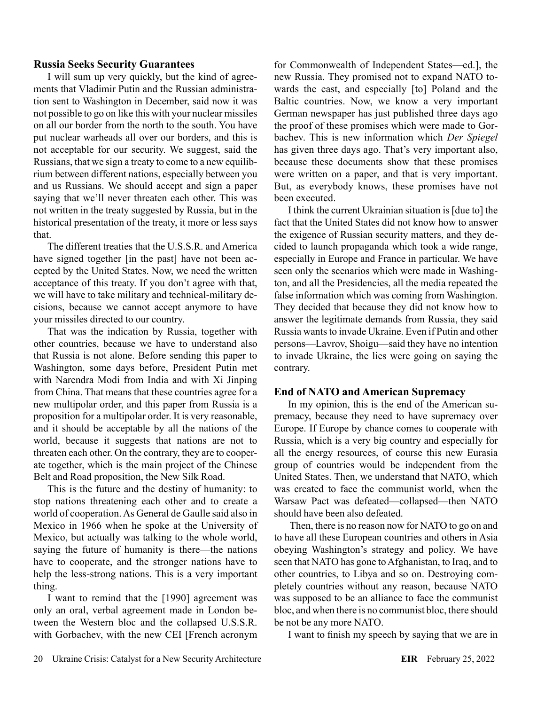### **Russia Seeks Security Guarantees**

I will sum up very quickly, but the kind of agreements that Vladimir Putin and the Russian administration sent to Washington in December, said now it was not possible to go on like this with your nuclear missiles on all our border from the north to the south. You have put nuclear warheads all over our borders, and this is not acceptable for our security. We suggest, said the Russians, that we sign a treaty to come to a new equilibrium between different nations, especially between you and us Russians. We should accept and sign a paper saying that we'll never threaten each other. This was not written in the treaty suggested by Russia, but in the historical presentation of the treaty, it more or less says that.

The different treaties that the U.S.S.R. and America have signed together [in the past] have not been accepted by the United States. Now, we need the written acceptance of this treaty. If you don't agree with that, we will have to take military and technical-military decisions, because we cannot accept anymore to have your missiles directed to our country.

That was the indication by Russia, together with other countries, because we have to understand also that Russia is not alone. Before sending this paper to Washington, some days before, President Putin met with Narendra Modi from India and with Xi Jinping from China. That means that these countries agree for a new multipolar order, and this paper from Russia is a proposition for a multipolar order. It is very reasonable, and it should be acceptable by all the nations of the world, because it suggests that nations are not to threaten each other. On the contrary, they are to cooperate together, which is the main project of the Chinese Belt and Road proposition, the New Silk Road.

This is the future and the destiny of humanity: to stop nations threatening each other and to create a world of cooperation. As General de Gaulle said also in Mexico in 1966 when he spoke at the University of Mexico, but actually was talking to the whole world, saying the future of humanity is there—the nations have to cooperate, and the stronger nations have to help the less-strong nations. This is a very important thing.

I want to remind that the [1990] agreement was only an oral, verbal agreement made in London between the Western bloc and the collapsed U.S.S.R. with Gorbachev, with the new CEI [French acronym

for Commonwealth of Independent States—ed.], the new Russia. They promised not to expand NATO towards the east, and especially [to] Poland and the Baltic countries. Now, we know a very important German newspaper has just published three days ago the proof of these promises which were made to Gorbachev. This is new information which *Der Spiegel* has given three days ago. That's very important also, because these documents show that these promises were written on a paper, and that is very important. But, as everybody knows, these promises have not been executed.

I think the current Ukrainian situation is [due to] the fact that the United States did not know how to answer the exigence of Russian security matters, and they decided to launch propaganda which took a wide range, especially in Europe and France in particular. We have seen only the scenarios which were made in Washington, and all the Presidencies, all the media repeated the false information which was coming from Washington. They decided that because they did not know how to answer the legitimate demands from Russia, they said Russia wants to invade Ukraine. Even if Putin and other persons—Lavrov, Shoigu—said they have no intention to invade Ukraine, the lies were going on saying the contrary.

### **End of NATO and American Supremacy**

In my opinion, this is the end of the American supremacy, because they need to have supremacy over Europe. If Europe by chance comes to cooperate with Russia, which is a very big country and especially for all the energy resources, of course this new Eurasia group of countries would be independent from the United States. Then, we understand that NATO, which was created to face the communist world, when the Warsaw Pact was defeated—collapsed—then NATO should have been also defeated.

 Then, there is no reason now for NATO to go on and to have all these European countries and others in Asia obeying Washington's strategy and policy. We have seen that NATO has gone to Afghanistan, to Iraq, and to other countries, to Libya and so on. Destroying completely countries without any reason, because NATO was supposed to be an alliance to face the communist bloc, and when there is no communist bloc, there should be not be any more NATO.

I want to finish my speech by saying that we are in